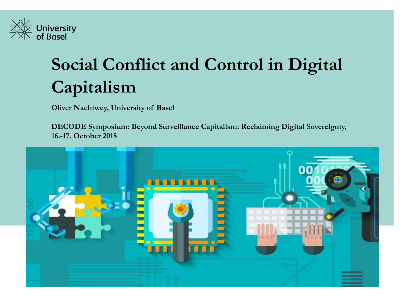

# **Social Conflict and Control in Digital Capitalism**

**Oliver Nachtwey, University of Basel** 

**DECODE Symposium: Beyond Surveillance Capitalism: Reclaiming Digital Sovereignty, 16.-17. October 2018**

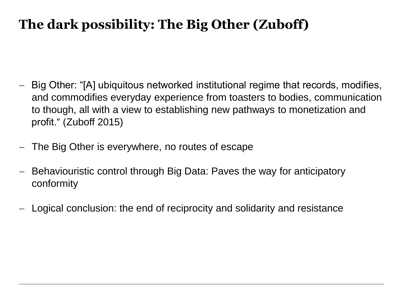# **The dark possibility: The Big Other (Zuboff)**

- Big Other: "[A] ubiquitous networked institutional regime that records, modifies, and commodifies everyday experience from toasters to bodies, communication to though, all with a view to establishing new pathways to monetization and profit." (Zuboff 2015)
- The Big Other is everywhere, no routes of escape
- Behaviouristic control through Big Data: Paves the way for anticipatory conformity
- Logical conclusion: the end of reciprocity and solidarity and resistance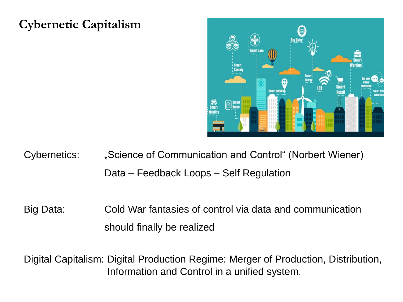### **Cybernetic Capitalism**



- Cybernetics: "Science of Communication and Control" (Norbert Wiener) Data – Feedback Loops – Self Regulation
- Big Data: Cold War fantasies of control via data and communication should finally be realized

Digital Capitalism: Digital Production Regime: Merger of Production, Distribution, Information and Control in a unified system.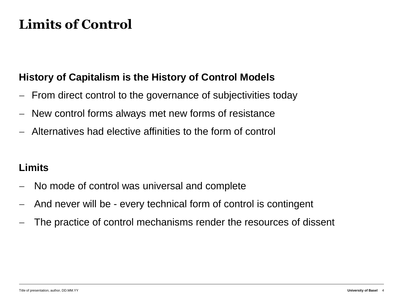## **Limits of Control**

#### **History of Capitalism is the History of Control Models**

- From direct control to the governance of subjectivities today
- New control forms always met new forms of resistance
- Alternatives had elective affinities to the form of control

#### **Limits**

- No mode of control was universal and complete
- And never will be every technical form of control is contingent
- The practice of control mechanisms render the resources of dissent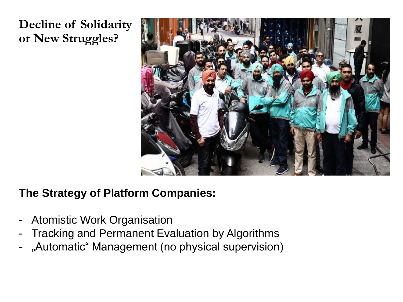## **Decline of Solidarity or New Struggles?**



#### **The Strategy of Platform Companies:**

- Atomistic Work Organisation
- Tracking and Permanent Evaluation by Algorithms
- "Automatic" Management (no physical supervision)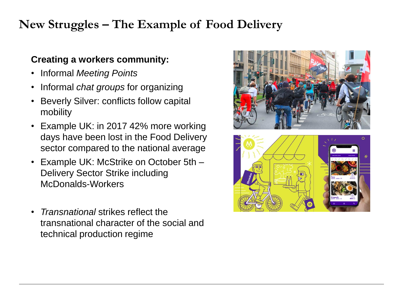## **New Struggles – The Example of Food Delivery**

#### **Creating a workers community:**

- Informal *Meeting Points*
- Informal *chat groups* for organizing
- Beverly Silver: conflicts follow capital mobility
- Example UK: in 2017 42% more working days have been lost in the Food Delivery sector compared to the national average
- Example UK: McStrike on October 5th Delivery Sector Strike including McDonalds-Workers
- *Transnational* strikes reflect the transnational character of the social and technical production regime